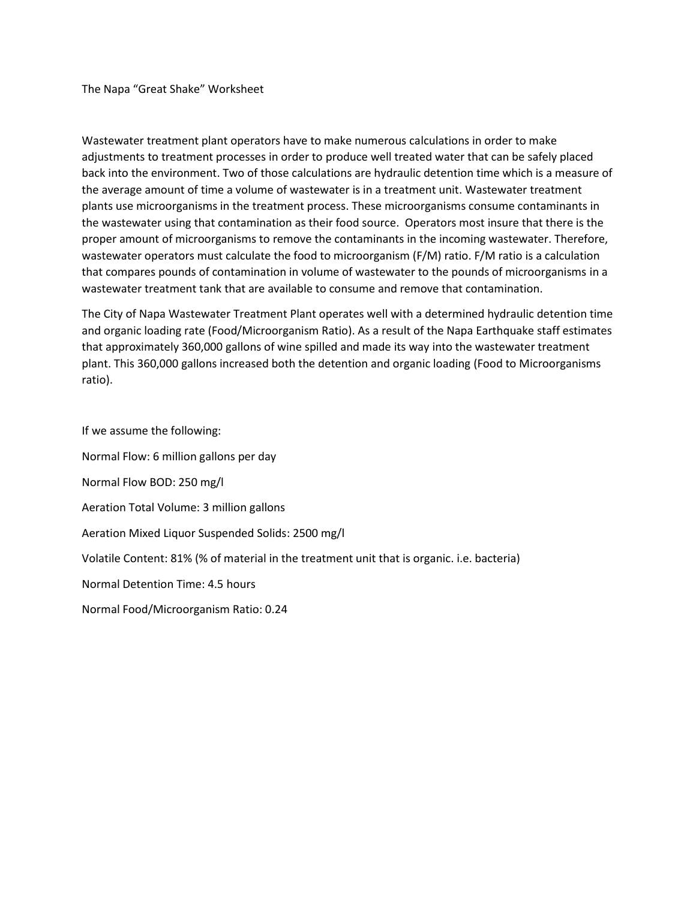The Napa "Great Shake" Worksheet

Wastewater treatment plant operators have to make numerous calculations in order to make adjustments to treatment processes in order to produce well treated water that can be safely placed back into the environment. Two of those calculations are hydraulic detention time which is a measure of the average amount of time a volume of wastewater is in a treatment unit. Wastewater treatment plants use microorganisms in the treatment process. These microorganisms consume contaminants in the wastewater using that contamination as their food source. Operators most insure that there is the proper amount of microorganisms to remove the contaminants in the incoming wastewater. Therefore, wastewater operators must calculate the food to microorganism (F/M) ratio. F/M ratio is a calculation that compares pounds of contamination in volume of wastewater to the pounds of microorganisms in a wastewater treatment tank that are available to consume and remove that contamination.

The City of Napa Wastewater Treatment Plant operates well with a determined hydraulic detention time and organic loading rate (Food/Microorganism Ratio). As a result of the Napa Earthquake staff estimates that approximately 360,000 gallons of wine spilled and made its way into the wastewater treatment plant. This 360,000 gallons increased both the detention and organic loading (Food to Microorganisms ratio).

If we assume the following:

Normal Flow: 6 million gallons per day Normal Flow BOD: 250 mg/l Aeration Total Volume: 3 million gallons Aeration Mixed Liquor Suspended Solids: 2500 mg/l Volatile Content: 81% (% of material in the treatment unit that is organic. i.e. bacteria) Normal Detention Time: 4.5 hours Normal Food/Microorganism Ratio: 0.24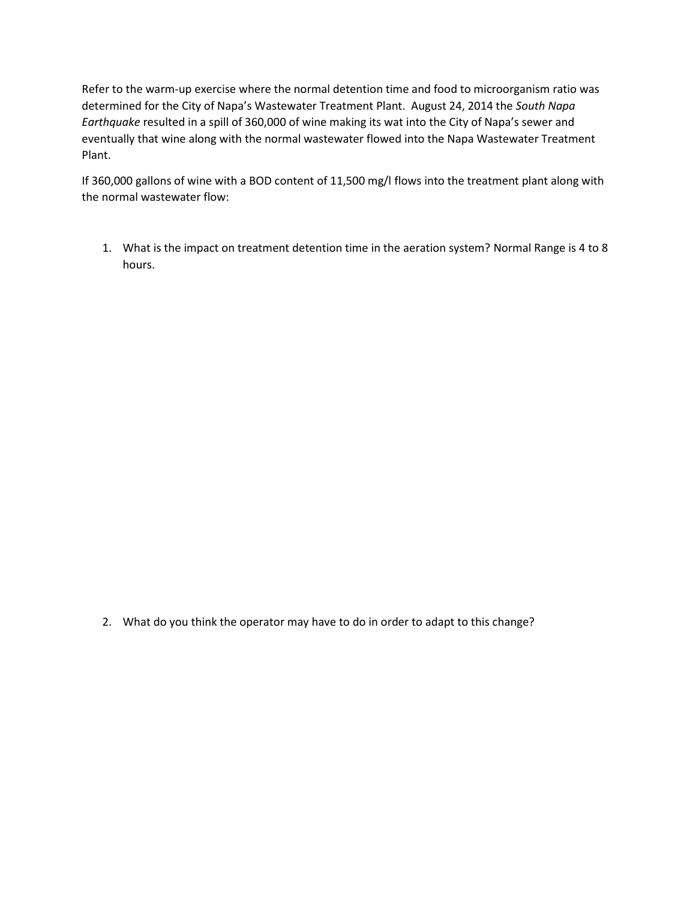Refer to the warm-up exercise where the normal detention time and food to microorganism ratio was determined for the City of Napa's Wastewater Treatment Plant. August 24, 2014 the *South Napa Earthquake* resulted in a spill of 360,000 of wine making its wat into the City of Napa's sewer and eventually that wine along with the normal wastewater flowed into the Napa Wastewater Treatment Plant.

If 360,000 gallons of wine with a BOD content of 11,500 mg/l flows into the treatment plant along with the normal wastewater flow:

1. What is the impact on treatment detention time in the aeration system? Normal Range is 4 to 8 hours.

2. What do you think the operator may have to do in order to adapt to this change?